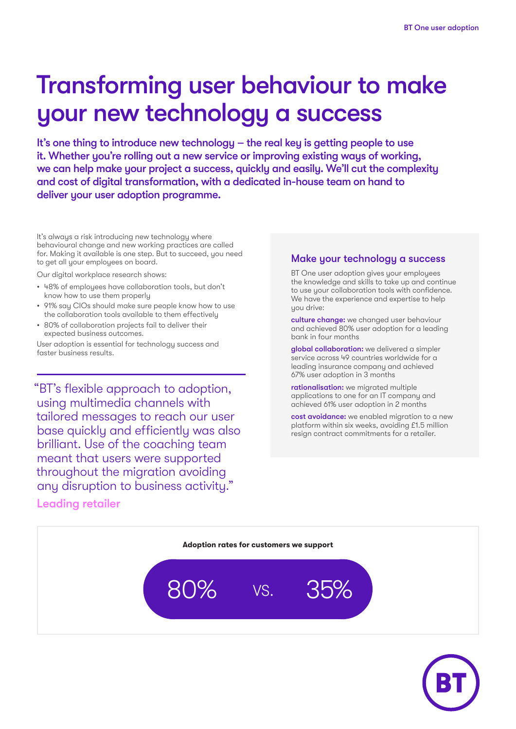## Transforming user behaviour to make your new technology a success

It's one thing to introduce new technology – the real key is getting people to use it. Whether you're rolling out a new service or improving existing ways of working, we can help make your project a success, quickly and easily. We'll cut the complexity and cost of digital transformation, with a dedicated in-house team on hand to deliver your user adoption programme.

It's always a risk introducing new technology where behavioural change and new working practices are called for. Making it available is one step. But to succeed, you need to get all your employees on board.

Our digital workplace research shows:

- 48% of employees have collaboration tools, but don't know how to use them properly
- 91% say CIOs should make sure people know how to use the collaboration tools available to them effectively
- 80% of collaboration projects fail to deliver their expected business outcomes.

User adoption is essential for technology success and faster business results.

"BT's flexible approach to adoption, using multimedia channels with tailored messages to reach our user base quickly and efficiently was also brilliant. Use of the coaching team meant that users were supported throughout the migration avoiding any disruption to business activity."

#### Leading retailer

#### Make your technology a success

BT One user adoption gives your employees the knowledge and skills to take up and continue to use your collaboration tools with confidence. We have the experience and expertise to help you drive:

culture change: we changed user behaviour and achieved 80% user adoption for a leading bank in four months

global collaboration: we delivered a simpler service across 49 countries worldwide for a leading insurance company and achieved 67% user adoption in 3 months

rationalisation: we migrated multiple applications to one for an IT company and achieved 61% user adoption in 2 months

cost avoidance: we enabled migration to a new platform within six weeks, avoiding £1.5 million resign contract commitments for a retailer.

# **Adoption rates for customers we support**  $80\%$  vs.